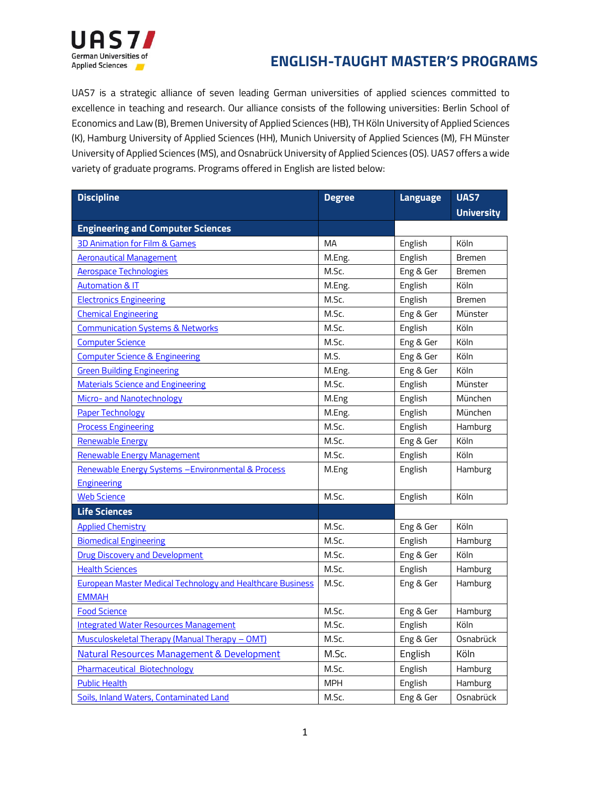

UAS7 is a strategic alliance of seven leading German universities of applied sciences committed to excellence in teaching and research. Our alliance consists of the following universities: Berlin School of Economics and Law (B), Bremen University of Applied Sciences (HB), TH Köln University of Applied Sciences (K), Hamburg University of Applied Sciences (HH), Munich University of Applied Sciences (M), FH Münster University of Applied Sciences (MS), and Osnabrück University of Applied Sciences (OS). UAS7 offers a wide variety of graduate programs. Programs offered in English are listed below:

| <b>Discipline</b>                                                 | <b>Degree</b> | <b>Language</b> | UAS7              |
|-------------------------------------------------------------------|---------------|-----------------|-------------------|
|                                                                   |               |                 | <b>University</b> |
| <b>Engineering and Computer Sciences</b>                          |               |                 |                   |
| 3D Animation for Film & Games                                     | MA            | English         | Köln              |
| <b>Aeronautical Management</b>                                    | M.Eng.        | English         | <b>Bremen</b>     |
| <b>Aerospace Technologies</b>                                     | M.Sc.         | Eng & Ger       | <b>Bremen</b>     |
| <b>Automation &amp; IT</b>                                        | M.Eng.        | English         | Köln              |
| <b>Electronics Engineering</b>                                    | M.Sc.         | English         | <b>Bremen</b>     |
| <b>Chemical Engineering</b>                                       | M.Sc.         | Eng & Ger       | Münster           |
| <b>Communication Systems &amp; Networks</b>                       | M.Sc.         | English         | Köln              |
| <b>Computer Science</b>                                           | M.Sc.         | Eng & Ger       | Köln              |
| <b>Computer Science &amp; Engineering</b>                         | M.S.          | Eng & Ger       | Köln              |
| <b>Green Building Engineering</b>                                 | M.Eng.        | Eng & Ger       | Köln              |
| <b>Materials Science and Engineering</b>                          | M.Sc.         | English         | Münster           |
| Micro- and Nanotechnology                                         | M.Eng         | English         | München           |
| <b>Paper Technology</b>                                           | M.Eng.        | English         | München           |
| <b>Process Engineering</b>                                        | M.Sc.         | English         | Hamburg           |
| <b>Renewable Energy</b>                                           | M.Sc.         | Eng & Ger       | Köln              |
| Renewable Energy Management                                       | M.Sc.         | English         | Köln              |
| Renewable Energy Systems - Environmental & Process                | M.Eng         | English         | Hamburg           |
| <b>Engineering</b>                                                |               |                 |                   |
| <b>Web Science</b>                                                | M.Sc.         | English         | Köln              |
| <b>Life Sciences</b>                                              |               |                 |                   |
| <b>Applied Chemistry</b>                                          | M.Sc.         | Eng & Ger       | Köln              |
| <b>Biomedical Engineering</b>                                     | M.Sc.         | English         | Hamburg           |
| <b>Drug Discovery and Development</b>                             | M.Sc.         | Eng & Ger       | Köln              |
| <b>Health Sciences</b>                                            | M.Sc.         | English         | Hamburg           |
| <b>European Master Medical Technology and Healthcare Business</b> | M.Sc.         | Eng & Ger       | Hamburg           |
| <b>EMMAH</b>                                                      |               |                 |                   |
| <b>Food Science</b>                                               | M.Sc.         | Eng & Ger       | Hamburg           |
| <b>Integrated Water Resources Management</b>                      | M.Sc.         | English         | Köln              |
| Musculoskeletal Therapy (Manual Therapy - OMT)                    | M.Sc.         | Eng & Ger       | Osnabrück         |
| Natural Resources Management & Development                        | M.Sc.         | English         | Köln              |
| Pharmaceutical Biotechnology                                      | M.Sc.         | English         | Hamburg           |
| <b>Public Health</b>                                              | <b>MPH</b>    | English         | Hamburg           |
| Soils, Inland Waters, Contaminated Land                           | M.Sc.         | Eng & Ger       | Osnabrück         |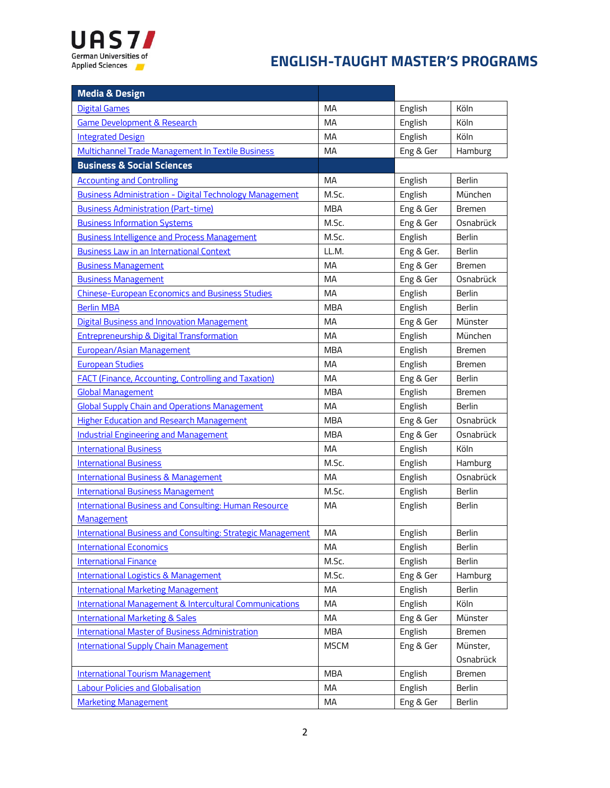

| <b>Media &amp; Design</b>                                          |             |            |               |
|--------------------------------------------------------------------|-------------|------------|---------------|
| <b>Digital Games</b>                                               | MA          | English    | Köln          |
| <b>Game Development &amp; Research</b>                             | MA          | English    | Köln          |
| <b>Integrated Design</b>                                           | MA          | English    | Köln          |
| Multichannel Trade Management In Textile Business                  | <b>MA</b>   | Eng & Ger  | Hamburg       |
| <b>Business &amp; Social Sciences</b>                              |             |            |               |
| <b>Accounting and Controlling</b>                                  | MA          | English    | Berlin        |
| <b>Business Administration - Digital Technology Management</b>     | M.Sc.       | English    | München       |
| <b>Business Administration (Part-time)</b>                         | <b>MBA</b>  | Eng & Ger  | Bremen        |
| <b>Business Information Systems</b>                                | M.Sc.       | Eng & Ger  | Osnabrück     |
| <b>Business Intelligence and Process Management</b>                | M.Sc.       | English    | <b>Berlin</b> |
| <b>Business Law in an International Context</b>                    | LL.M.       | Eng & Ger. | <b>Berlin</b> |
| <b>Business Management</b>                                         | MA          | Eng & Ger  | <b>Bremen</b> |
| <b>Business Management</b>                                         | <b>MA</b>   | Eng & Ger  | Osnabrück     |
| <b>Chinese-European Economics and Business Studies</b>             | MA          | English    | Berlin        |
| <b>Berlin MBA</b>                                                  | <b>MBA</b>  | English    | <b>Berlin</b> |
| <b>Digital Business and Innovation Management</b>                  | МA          | Eng & Ger  | Münster       |
| <b>Entrepreneurship &amp; Digital Transformation</b>               | MA          | English    | München       |
| <b>European/Asian Management</b>                                   | <b>MBA</b>  | English    | <b>Bremen</b> |
| <b>European Studies</b>                                            | MA          | English    | Bremen        |
| <b>FACT (Finance, Accounting, Controlling and Taxation)</b>        | <b>MA</b>   | Eng & Ger  | <b>Berlin</b> |
| <b>Global Management</b>                                           | <b>MBA</b>  | English    | <b>Bremen</b> |
| <b>Global Supply Chain and Operations Management</b>               | <b>MA</b>   | English    | Berlin        |
| <b>Higher Education and Research Management</b>                    | <b>MBA</b>  | Eng & Ger  | Osnabrück     |
| <b>Industrial Engineering and Management</b>                       | MBA         | Eng & Ger  | Osnabrück     |
| <b>International Business</b>                                      | MA          | English    | Köln          |
| <b>International Business</b>                                      | M.Sc.       | English    | Hamburg       |
| <b>International Business &amp; Management</b>                     | МA          | English    | Osnabrück     |
| <b>International Business Management</b>                           | M.Sc.       | English    | <b>Berlin</b> |
| <b>International Business and Consulting: Human Resource</b>       | МA          | English    | <b>Berlin</b> |
| <b>Management</b>                                                  |             |            |               |
| <b>International Business and Consulting: Strategic Management</b> | MA          | English    | Berlin        |
| <b>International Economics</b>                                     | МA          | English    | Berlin        |
| <b>International Finance</b>                                       | M.Sc.       | English    | Berlin        |
| <b>International Logistics &amp; Management</b>                    | M.Sc.       | Eng & Ger  | Hamburg       |
| <b>International Marketing Management</b>                          | МA          | English    | <b>Berlin</b> |
| <b>International Management &amp; Intercultural Communications</b> | МA          | English    | Köln          |
| <b>International Marketing &amp; Sales</b>                         | MA          | Eng & Ger  | Münster       |
| <b>International Master of Business Administration</b>             | MBA         | English    | Bremen        |
| <b>International Supply Chain Management</b>                       | <b>MSCM</b> | Eng & Ger  | Münster,      |
|                                                                    |             |            | Osnabrück     |
| <b>International Tourism Management</b>                            | <b>MBA</b>  | English    | Bremen        |
| <b>Labour Policies and Globalisation</b>                           | MA          | English    | Berlin        |
| <b>Marketing Management</b>                                        | MA          | Eng & Ger  | Berlin        |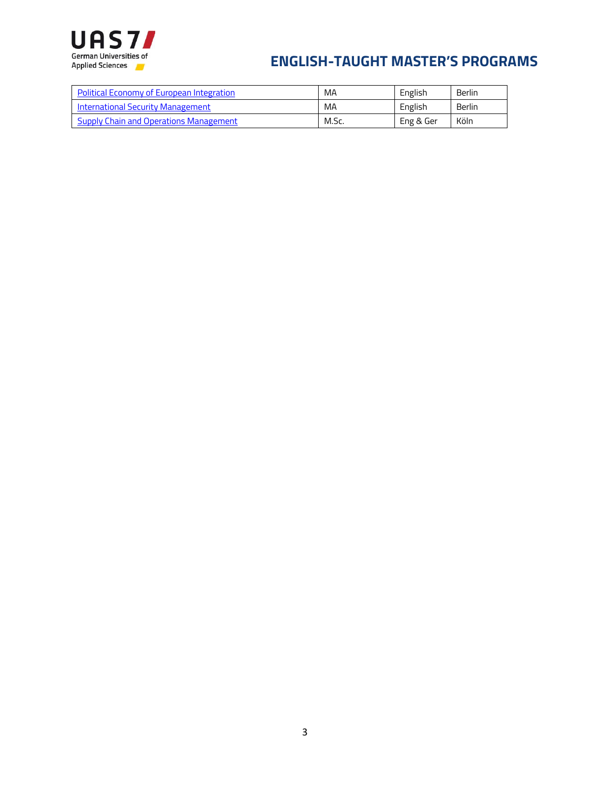

| <b>Political Economy of European Integration</b> | MA    | English   | Berlin |
|--------------------------------------------------|-------|-----------|--------|
| International Security Management                | MA    | English   | Berlin |
| <b>Supply Chain and Operations Management</b>    | M.Sc. | Eng & Ger | Köln   |